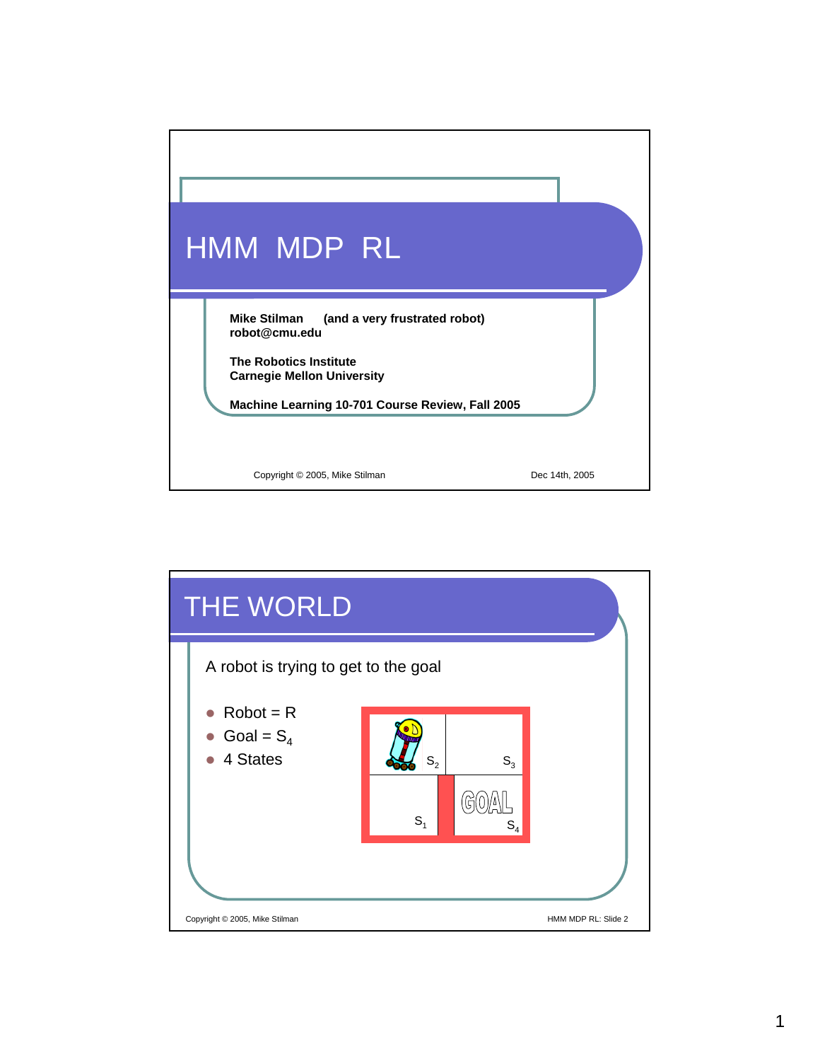

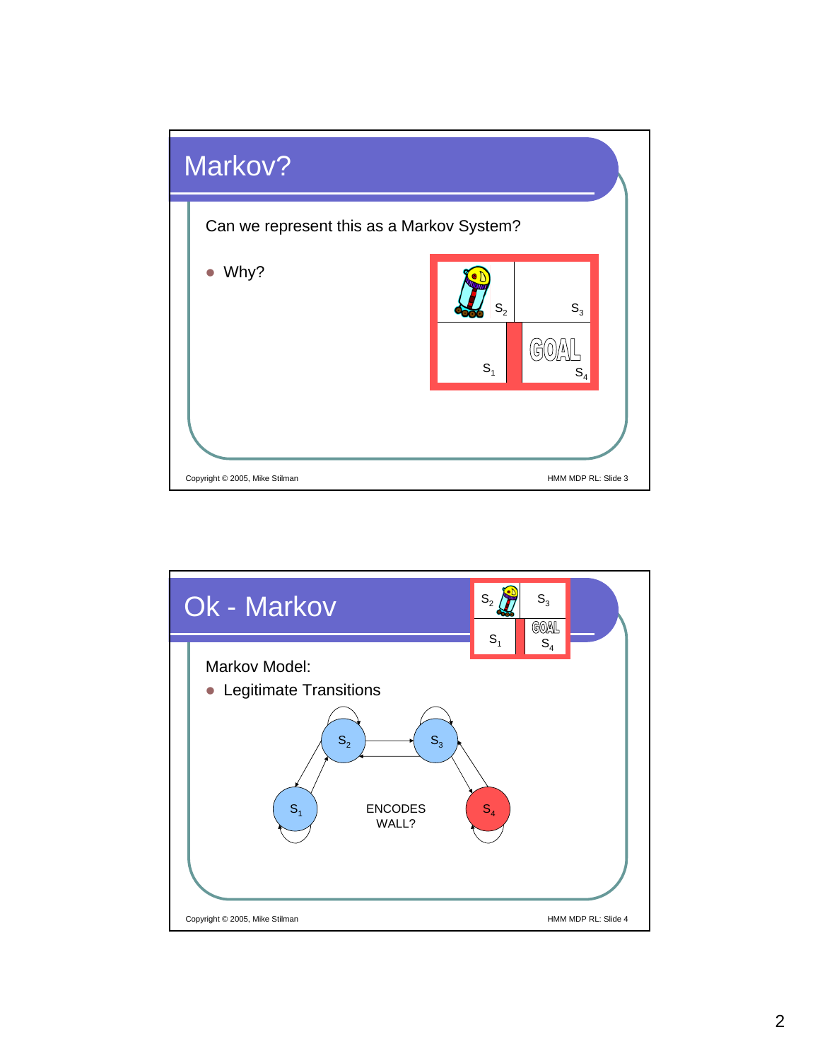

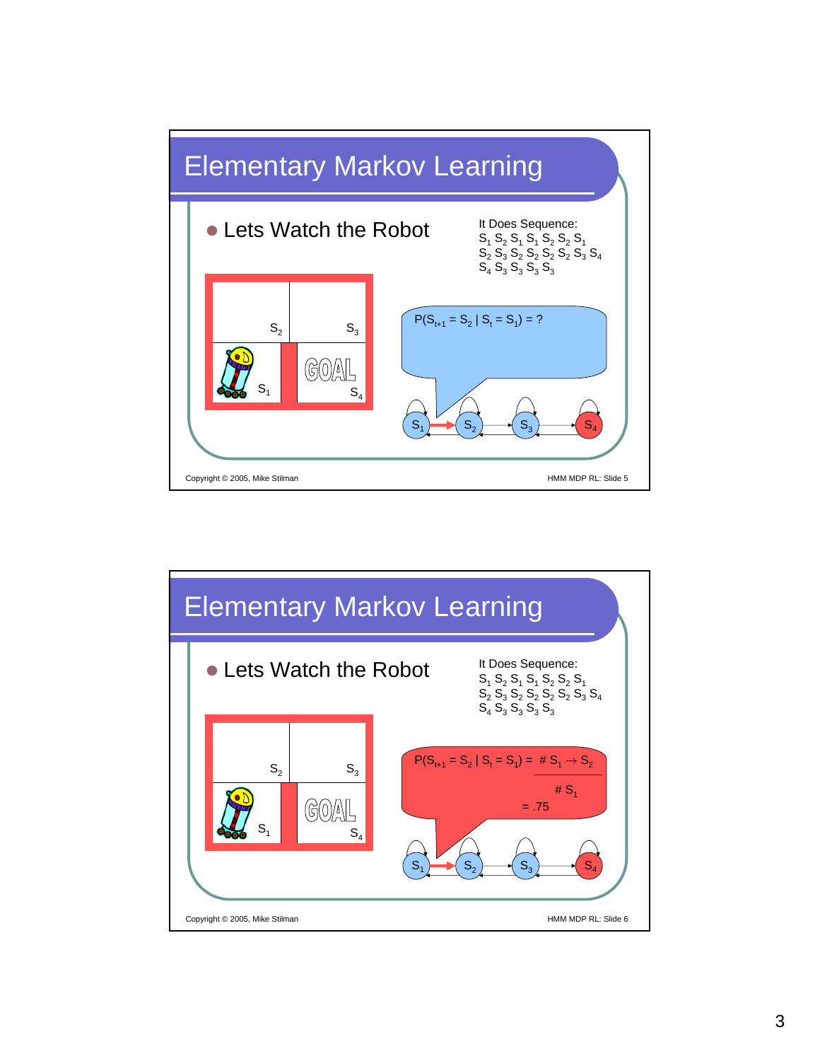

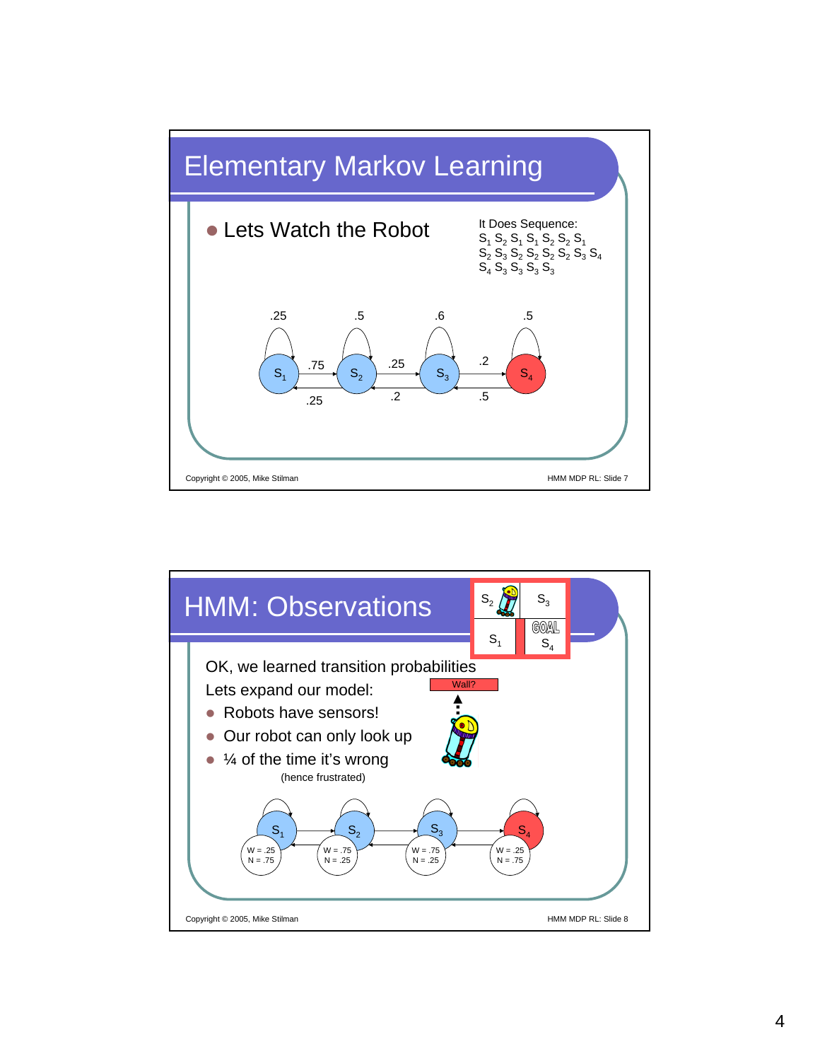

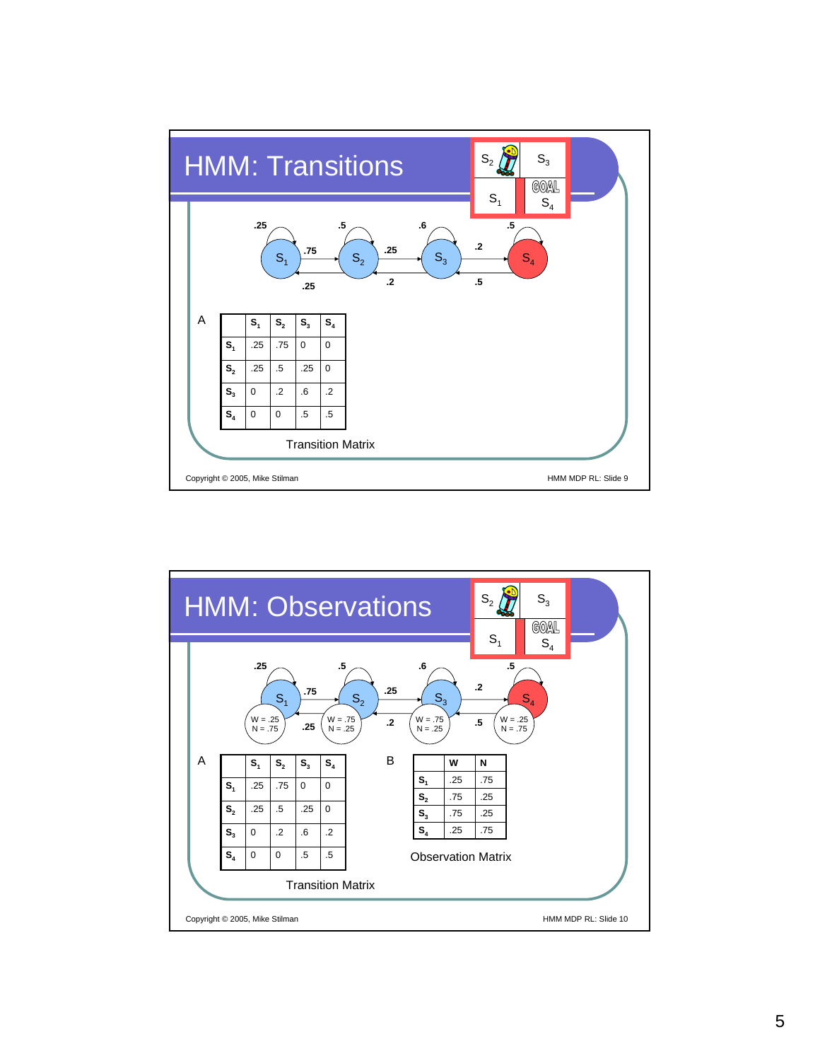

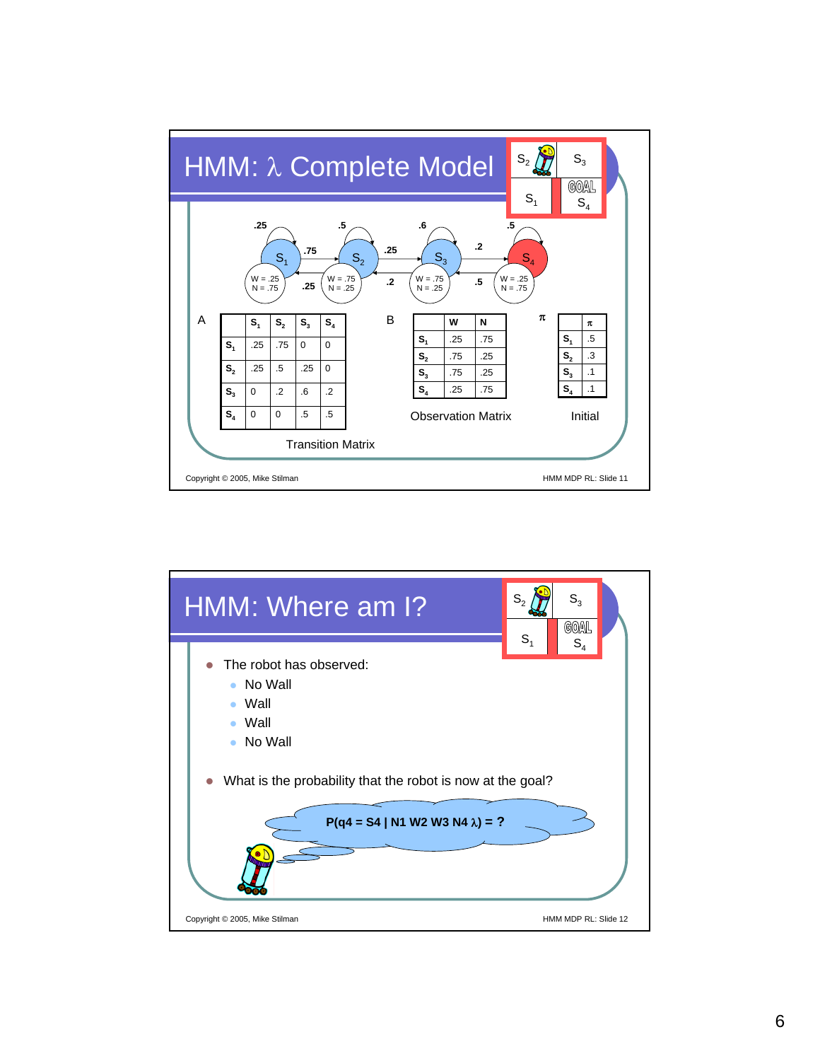

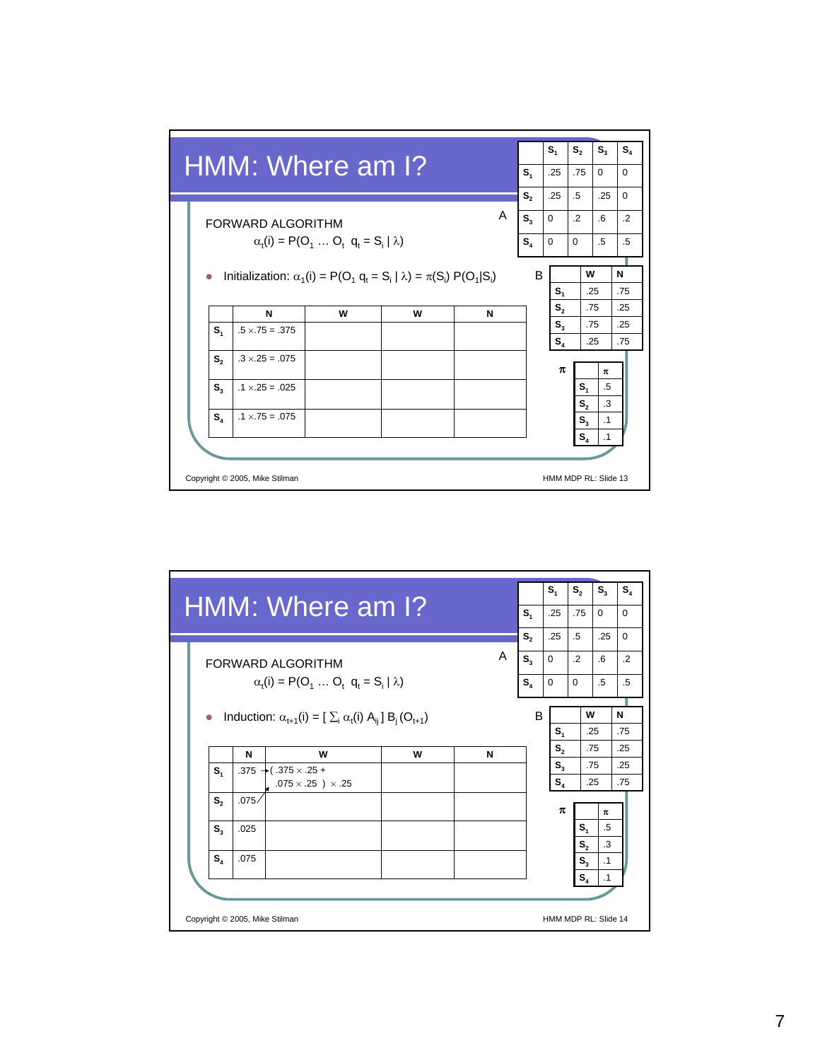

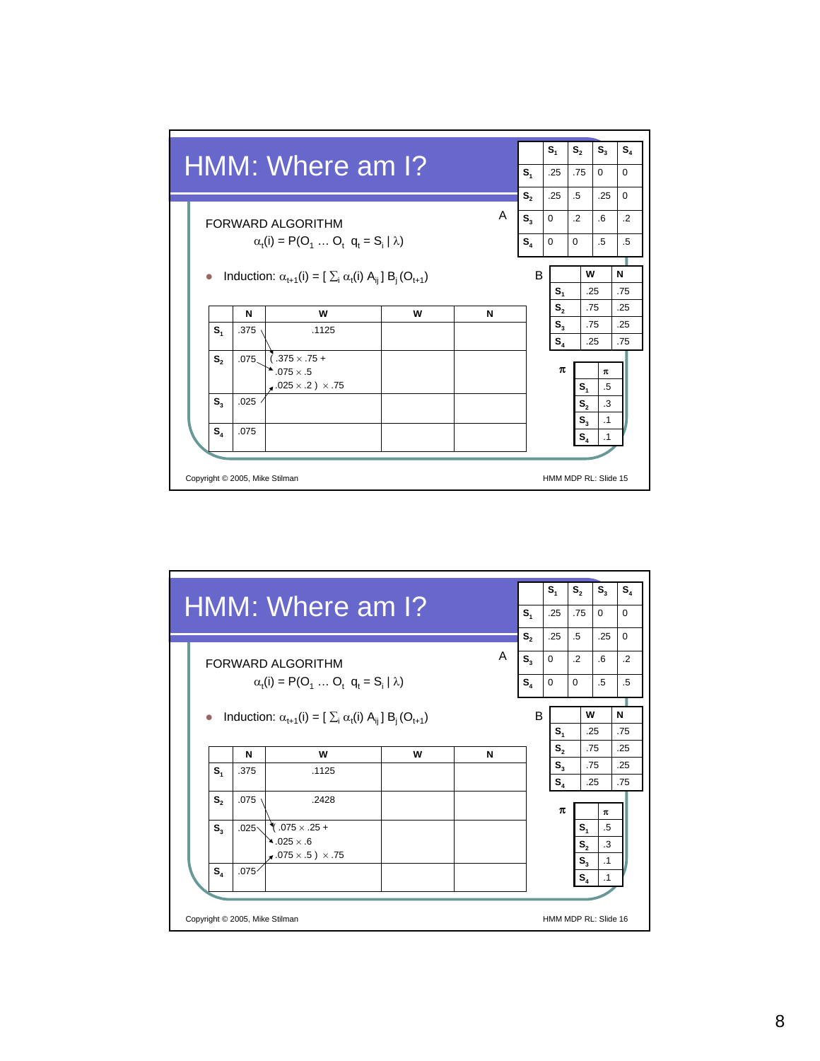

| A<br>N | S <sub>1</sub><br>S,<br>$S_{3}$<br>S <sub>4</sub><br>B | $\Omega$<br>$\Omega$ | .25<br>.25<br>$\Omega$<br>S <sub>1</sub><br>S <sub>2</sub><br>$S_{3}$<br>$S_4$ | .75<br>$\Omega$<br>$.5\overline{)}$<br>.25<br>$\cdot$<br>$6 \overline{6}$<br>$.5\,$<br>W<br>.25<br>.75<br>.75<br>.25 | $\Omega$<br>$\Omega$<br>.2<br>.5<br>N<br>.75<br>.25<br>.25<br>.75 |
|--------|--------------------------------------------------------|----------------------|--------------------------------------------------------------------------------|----------------------------------------------------------------------------------------------------------------------|-------------------------------------------------------------------|
|        |                                                        |                      |                                                                                |                                                                                                                      |                                                                   |
|        |                                                        |                      |                                                                                |                                                                                                                      |                                                                   |
|        |                                                        |                      |                                                                                |                                                                                                                      |                                                                   |
|        |                                                        |                      |                                                                                |                                                                                                                      |                                                                   |
|        |                                                        |                      |                                                                                |                                                                                                                      |                                                                   |
|        |                                                        |                      |                                                                                |                                                                                                                      |                                                                   |
|        |                                                        |                      |                                                                                |                                                                                                                      |                                                                   |
|        |                                                        |                      |                                                                                |                                                                                                                      |                                                                   |
|        |                                                        |                      |                                                                                |                                                                                                                      |                                                                   |
|        |                                                        |                      | π                                                                              |                                                                                                                      | π                                                                 |
|        |                                                        |                      |                                                                                | S <sub>1</sub>                                                                                                       | .5                                                                |
|        |                                                        |                      |                                                                                | $\mathbf{S}_{\scriptscriptstyle{2}}$                                                                                 | .3                                                                |
|        |                                                        |                      |                                                                                |                                                                                                                      | $\cdot$ 1                                                         |
|        |                                                        |                      |                                                                                |                                                                                                                      |                                                                   |
|        |                                                        |                      |                                                                                |                                                                                                                      | $S_{3}$<br>.1<br>$S_{4}$<br>HMM MDP RL: Slide 16                  |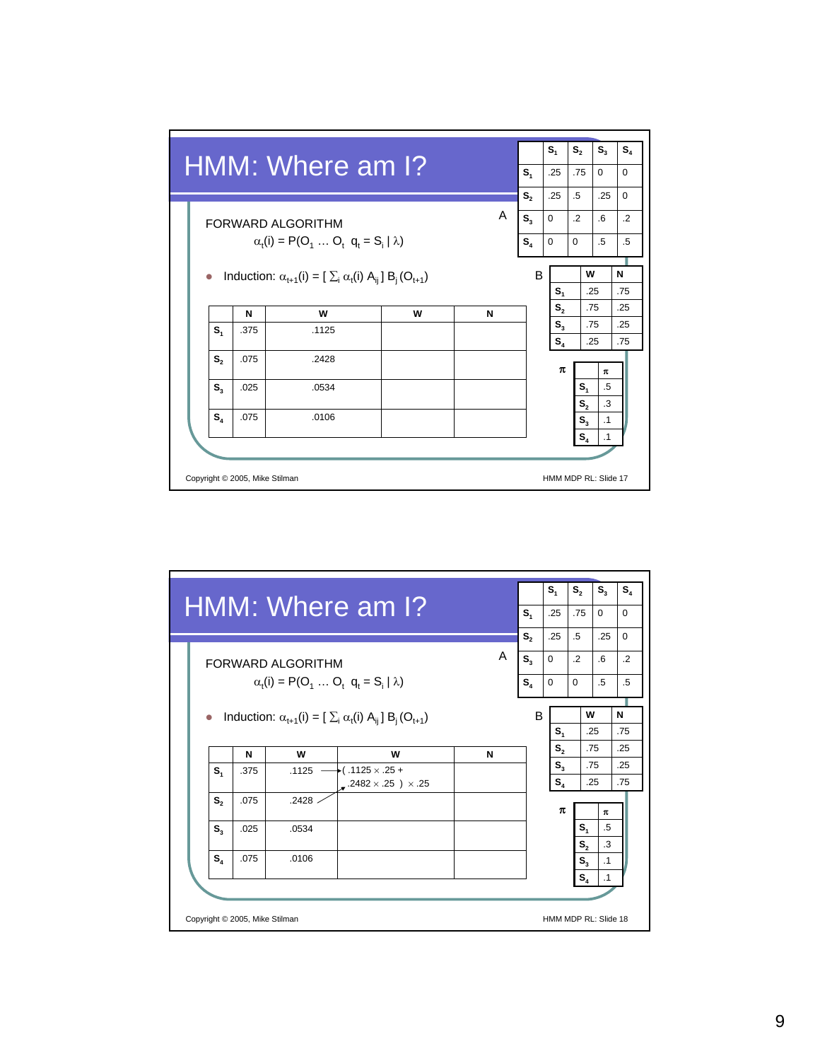

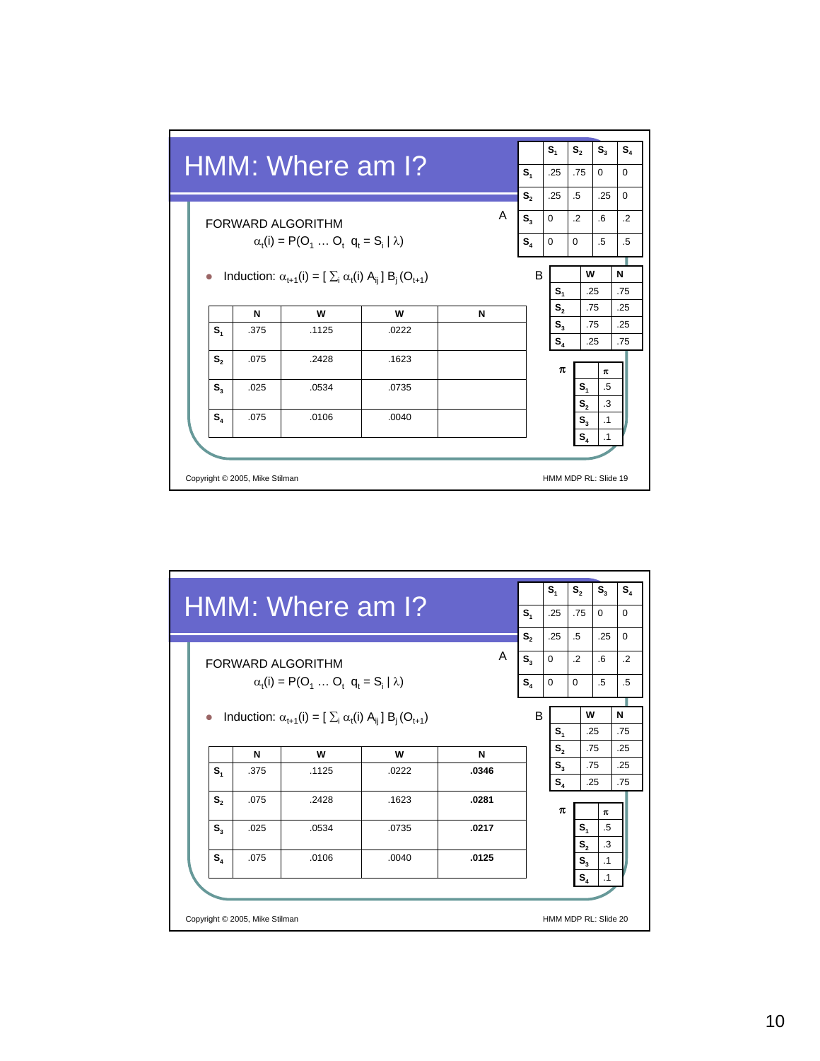

|         |      |                                                                          |       |       |                | $S_{4}$                 | $S_{2}$                   | $S_{3}$    | $S_4$      |
|---------|------|--------------------------------------------------------------------------|-------|-------|----------------|-------------------------|---------------------------|------------|------------|
|         |      | HMM: Where am I?                                                         |       |       | S <sub>1</sub> | .25                     | .75                       | $\Omega$   | $\Omega$   |
|         |      |                                                                          |       |       | S,             | .25                     | $.5\overline{)}$          | .25        | $\Omega$   |
|         |      | <b>FORWARD ALGORITHM</b>                                                 |       | A     | $S_{\lambda}$  | $\Omega$                | $\cdot$                   | 6          | $\cdot$    |
|         |      | $\alpha_{t}(i) = P(O_{1}  O_{t} q_{t} = S_{i}   \lambda)$                |       |       | $S_4$          | $\Omega$                | $\Omega$                  | $.5\,$     | $.5\,$     |
|         |      | Induction: $\alpha_{t+1}(i) = [\sum_i \alpha_i(i) A_{ii}] B_i (O_{t+1})$ |       |       | B              | S <sub>1</sub>          |                           | W<br>.25   | N<br>.75   |
|         | N    | W                                                                        | w     | N     |                | S <sub>2</sub>          |                           | .75        | .25        |
| $S_{4}$ | .375 | .1125                                                                    | .0222 | .0346 |                | S <sub>3</sub><br>$S_4$ |                           | .75<br>.25 | .25<br>.75 |
| $S_{2}$ | .075 | .2428                                                                    | .1623 | .0281 |                | π                       |                           | π          |            |
| $S_{3}$ | .025 | .0534                                                                    | .0735 | .0217 |                |                         | $S_{1}$<br>S <sub>2</sub> | .5<br>.3   |            |
|         | .075 | .0106                                                                    | .0040 | .0125 |                |                         | $S_{3}$                   | $\cdot$ 1  |            |
| $S_{4}$ |      |                                                                          |       |       |                |                         | $S_{4}$                   | $\cdot$ 1  |            |
|         |      |                                                                          |       |       |                |                         |                           |            |            |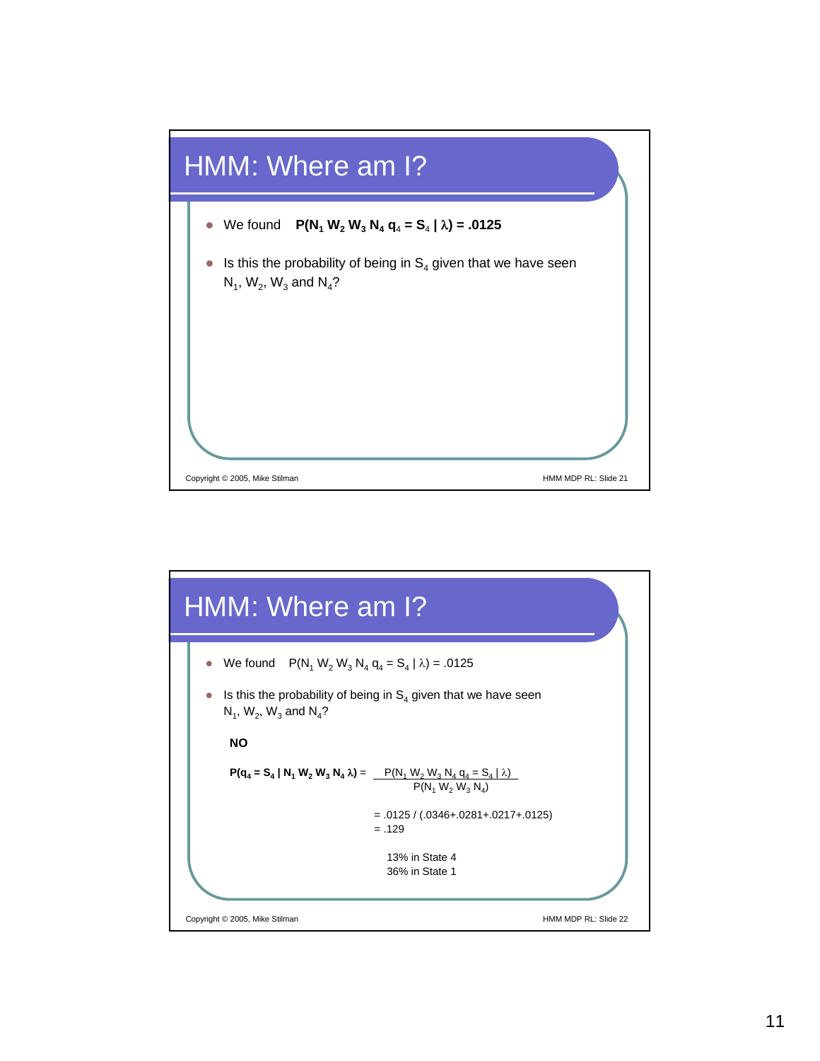

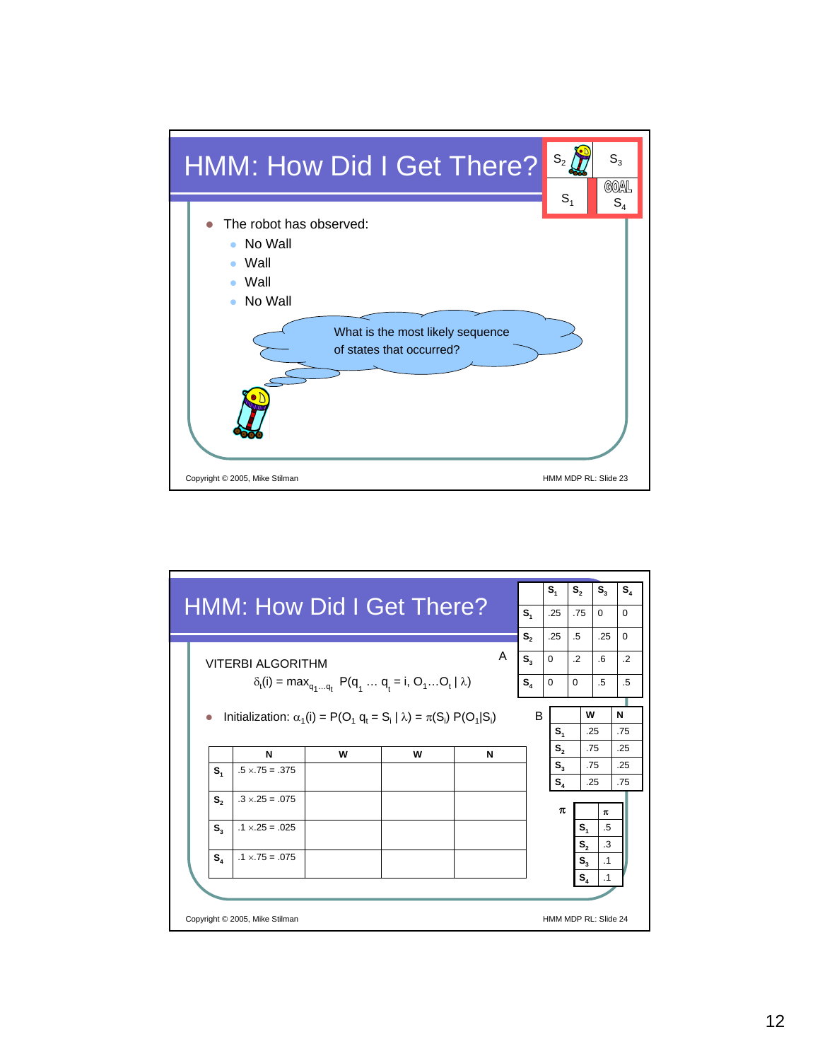

|                                  |                                                                                    |                                                               |   |   |   |                | $S_{1}$        | $S_{2}$                                       | $S_{3}$                | $S_{4}$    |
|----------------------------------|------------------------------------------------------------------------------------|---------------------------------------------------------------|---|---|---|----------------|----------------|-----------------------------------------------|------------------------|------------|
| <b>HMM: How Did I Get There?</b> |                                                                                    |                                                               |   |   |   | S <sub>1</sub> | .25            | .75                                           | $\Omega$               | $\Omega$   |
|                                  |                                                                                    |                                                               |   |   |   | S,             | .25            | $.5\,$                                        | .25                    | $\Omega$   |
|                                  | <b>VITERBI ALGORITHM</b>                                                           |                                                               |   |   | A | $S_{3}$        | $\Omega$       | $\cdot$ .2                                    | .6                     | $\cdot$ .2 |
|                                  |                                                                                    | $\delta_t(i) = \max_{q_1q_t} P(q_1q_t = i, O_1O_t   \lambda)$ |   |   |   | $S_{\lambda}$  | $\Omega$       | $\Omega$                                      | $.5\,$                 | $.5\,$     |
|                                  |                                                                                    |                                                               |   |   |   |                |                | w                                             |                        |            |
|                                  | Initialization: $\alpha_1(i) = P(O_1 q_i = S_i   \lambda) = \pi(S_i) P(O_1   S_i)$ |                                                               |   |   |   | B              | $S_{1}$        |                                               | .25                    | N<br>.75   |
|                                  | N                                                                                  | w                                                             | W | N |   |                | S <sub>2</sub> |                                               | .75                    | .25        |
| $S_{1}$                          | $.5 \times 75 = .375$                                                              |                                                               |   |   |   |                | S <sub>3</sub> |                                               | .75                    | .25        |
| $S_{2}$                          | $.3 \times 25 = .075$                                                              |                                                               |   |   |   |                | $S_{A}$<br>π   |                                               | .25<br>π               | .75        |
|                                  |                                                                                    |                                                               |   |   |   |                |                |                                               |                        |            |
| S,                               | $.1 \times 25 = .025$                                                              |                                                               |   |   |   |                |                | $S_{\scriptscriptstyle{1}}$<br>S <sub>2</sub> | .5<br>.3               |            |
| $S_{4}$                          | $.1 \times 75 = .075$                                                              |                                                               |   |   |   |                |                | $S_{3}$                                       | $\cdot$ 1<br>$\cdot$ 1 |            |
|                                  |                                                                                    |                                                               |   |   |   |                |                | $S_{4}$                                       |                        |            |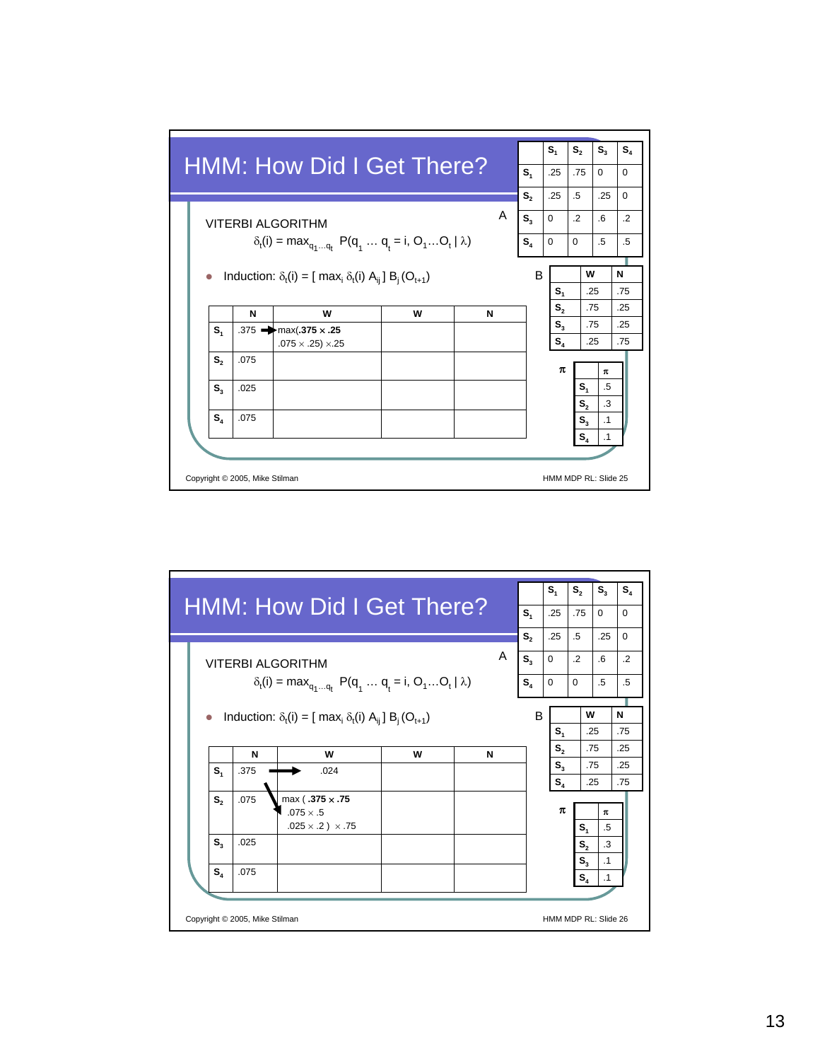

|                                                                             |                                |                                                                        |   |   |   |                | $S_{1}$            | $S_{2}$                                                                                | $S_{3}$                              | $S_4$      |
|-----------------------------------------------------------------------------|--------------------------------|------------------------------------------------------------------------|---|---|---|----------------|--------------------|----------------------------------------------------------------------------------------|--------------------------------------|------------|
|                                                                             |                                | <b>HMM: How Did I Get There?</b>                                       |   |   |   | S <sub>1</sub> | .25                | .75                                                                                    | $\Omega$                             | $\Omega$   |
|                                                                             |                                |                                                                        |   |   |   | S,             | .25                | .5                                                                                     | .25                                  | $\Omega$   |
|                                                                             |                                | VITERBI ALGORITHM                                                      |   |   | A | $S_{3}$        | $\mathbf 0$        | $\cdot$                                                                                | .6                                   | $\cdot$    |
|                                                                             |                                | $\delta_t(i) = \max_{q_1q_t} P(q_1q_t = i, O_1O_t   \lambda)$          |   |   |   | $S_4$          | $\Omega$           | $\Omega$                                                                               | $.5\overline{)}$                     | $.5\,$     |
| Induction: $\delta_t(i) = [\text{ max}_i \delta_t(i) A_{ij}] B_i (O_{t+1})$ |                                |                                                                        |   |   |   |                |                    | w                                                                                      |                                      | N          |
|                                                                             |                                |                                                                        |   |   |   | B              | $S_{1}$            |                                                                                        | .25                                  | .75        |
|                                                                             | N                              | w                                                                      | W | N |   |                | S <sub>2</sub>     |                                                                                        | .75                                  | .25        |
| S <sub>1</sub>                                                              | .375                           | .024                                                                   |   |   |   |                | $S_{3}$<br>$S_{4}$ |                                                                                        | .75<br>.25                           | .25<br>.75 |
| $S_{2}$<br>$S_{3}$<br>$S_{4}$                                               | .075<br>.025<br>.075           | max (.375 x .75<br>$.075 \times .5$<br>$.025 \times .2$ ) $\times .75$ |   |   |   |                | π                  | $S_{\scriptscriptstyle 4}$<br>$\mathbf{S}_{\scriptscriptstyle{2}}$<br>$S_{3}$<br>$S_4$ | $\pi$<br>.5<br>.3<br>$\cdot$ 1<br>.1 |            |
|                                                                             | Copyright © 2005, Mike Stilman |                                                                        |   |   |   |                |                    | HMM MDP RL: Slide 26                                                                   |                                      |            |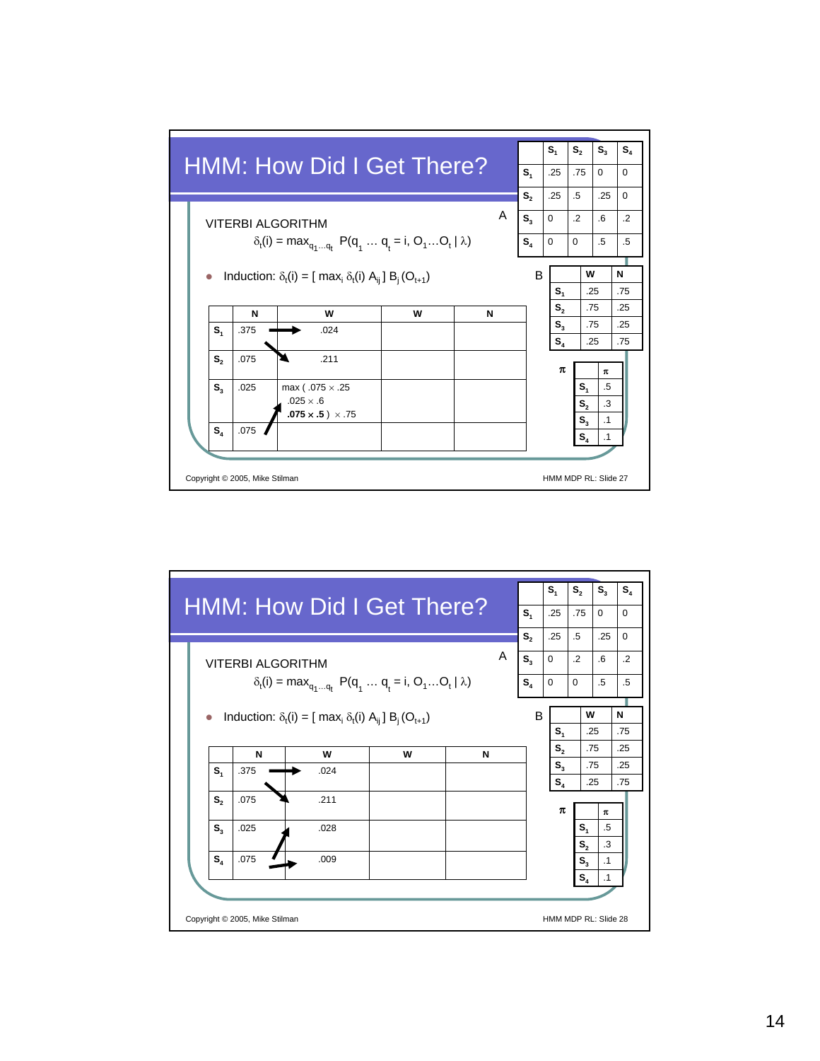

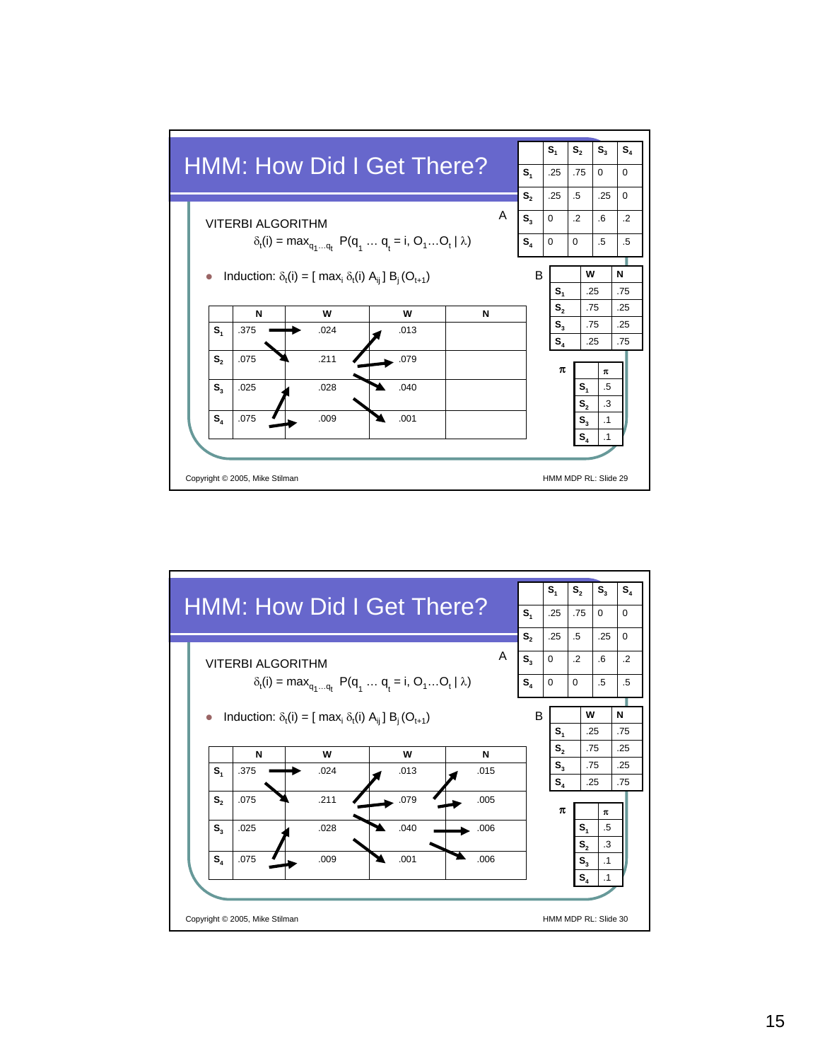

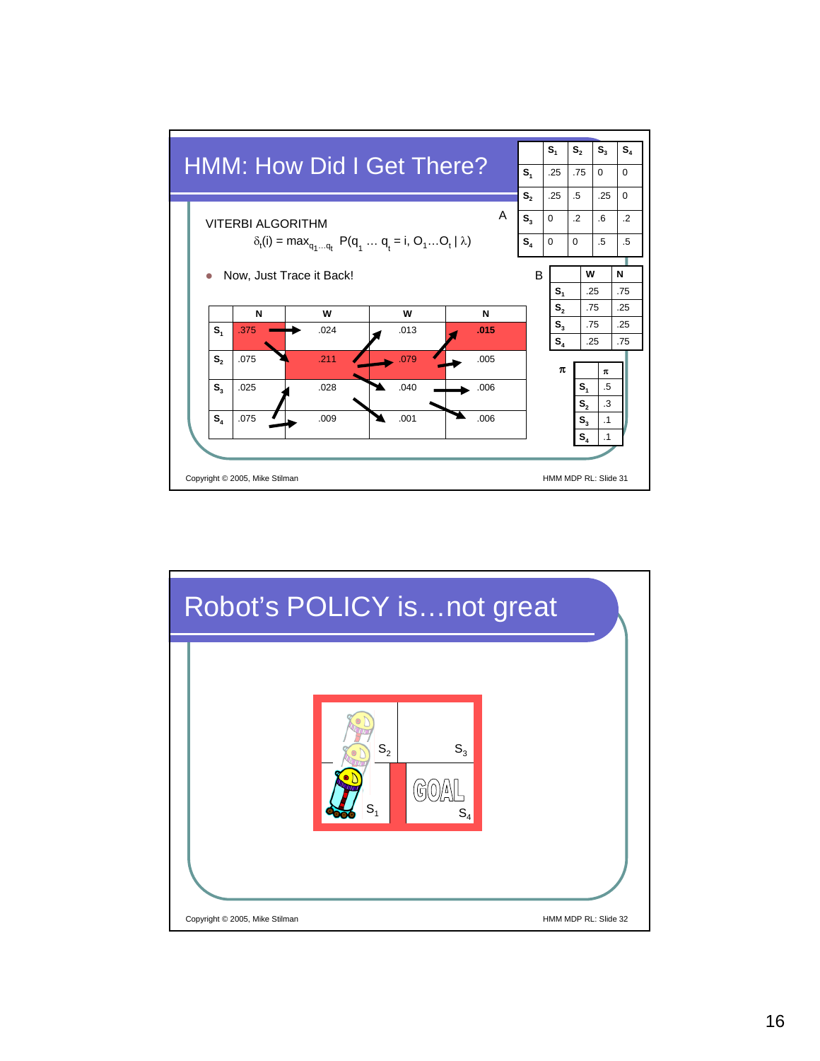

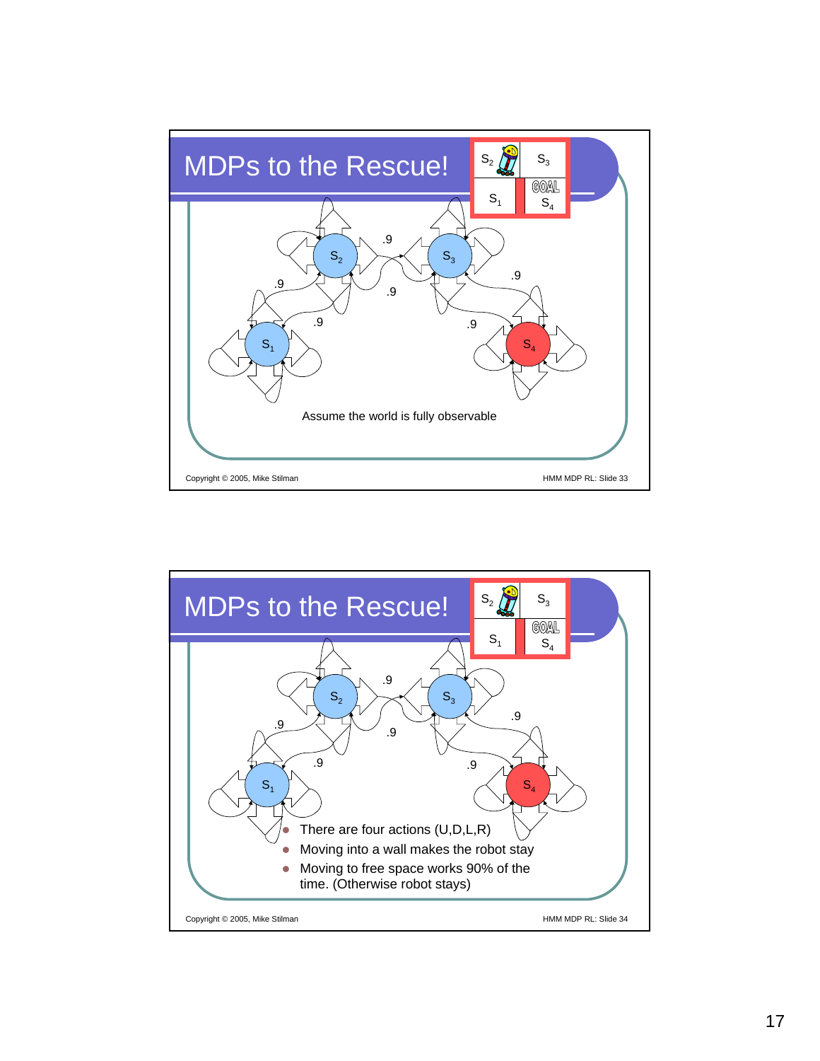

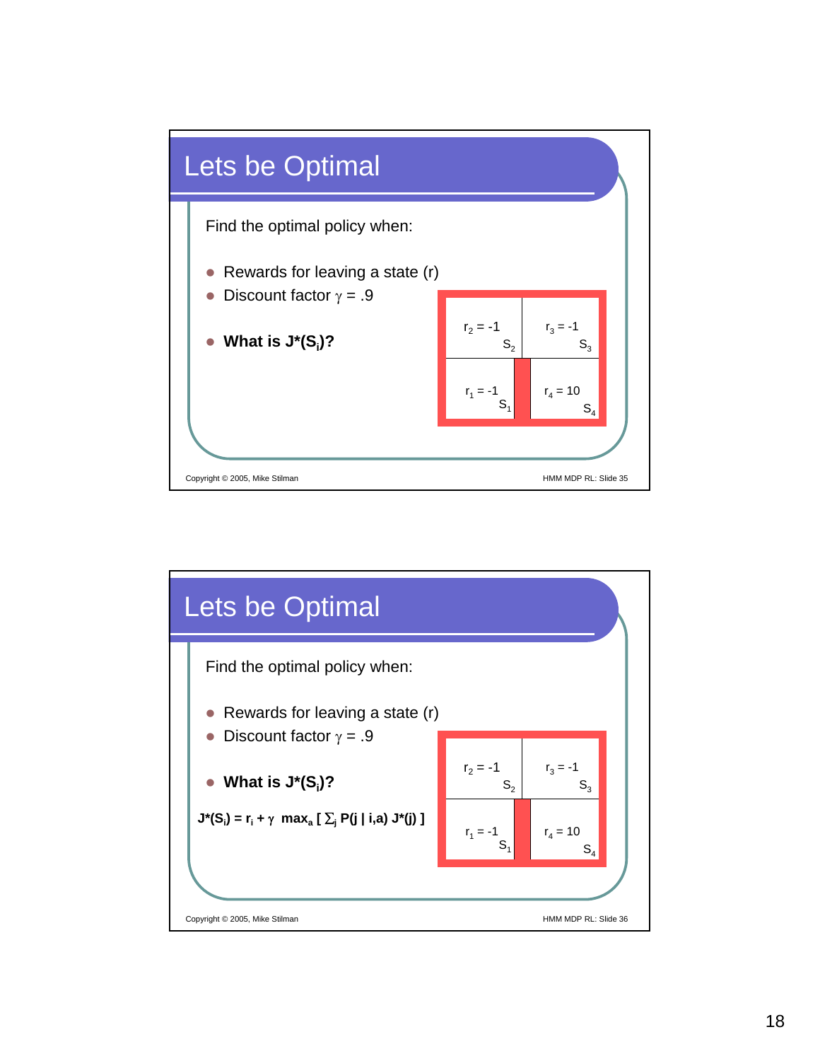

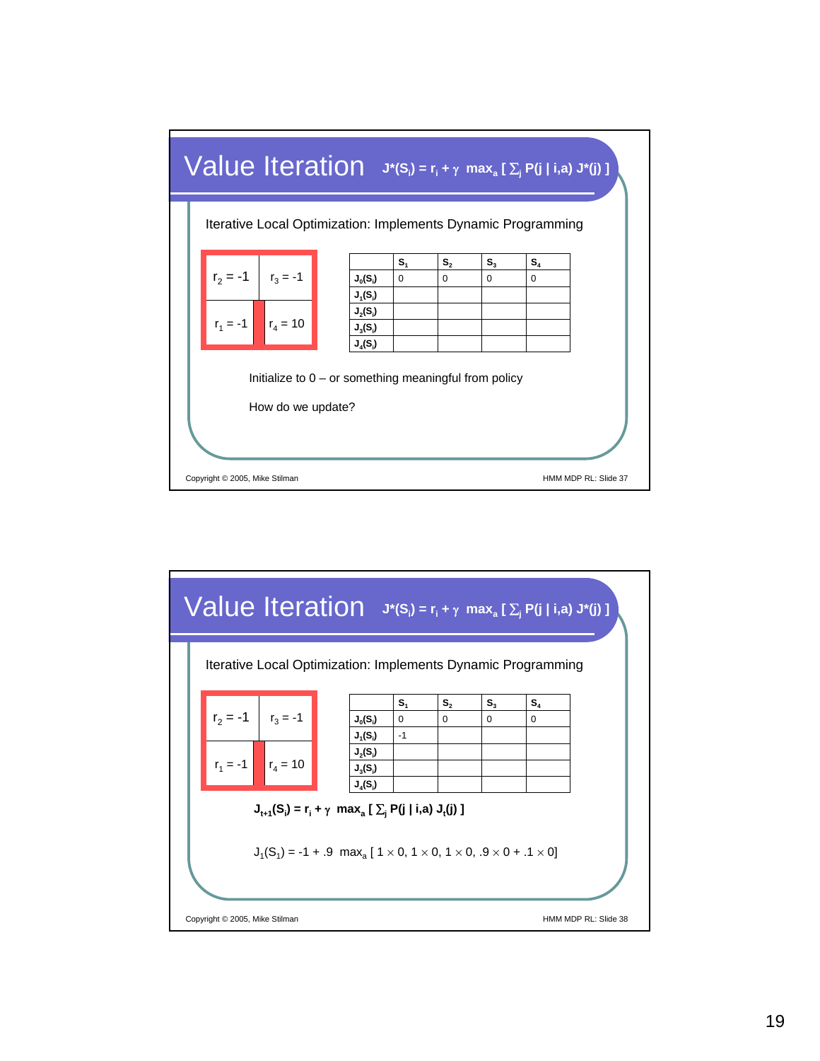

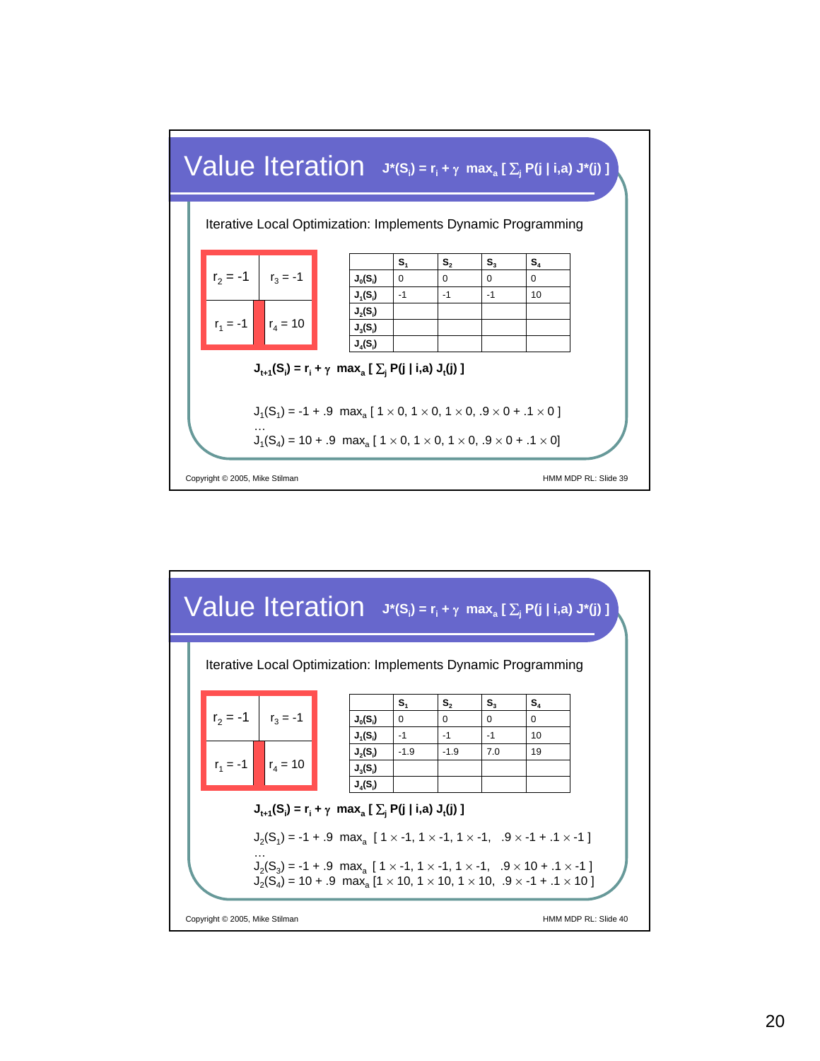

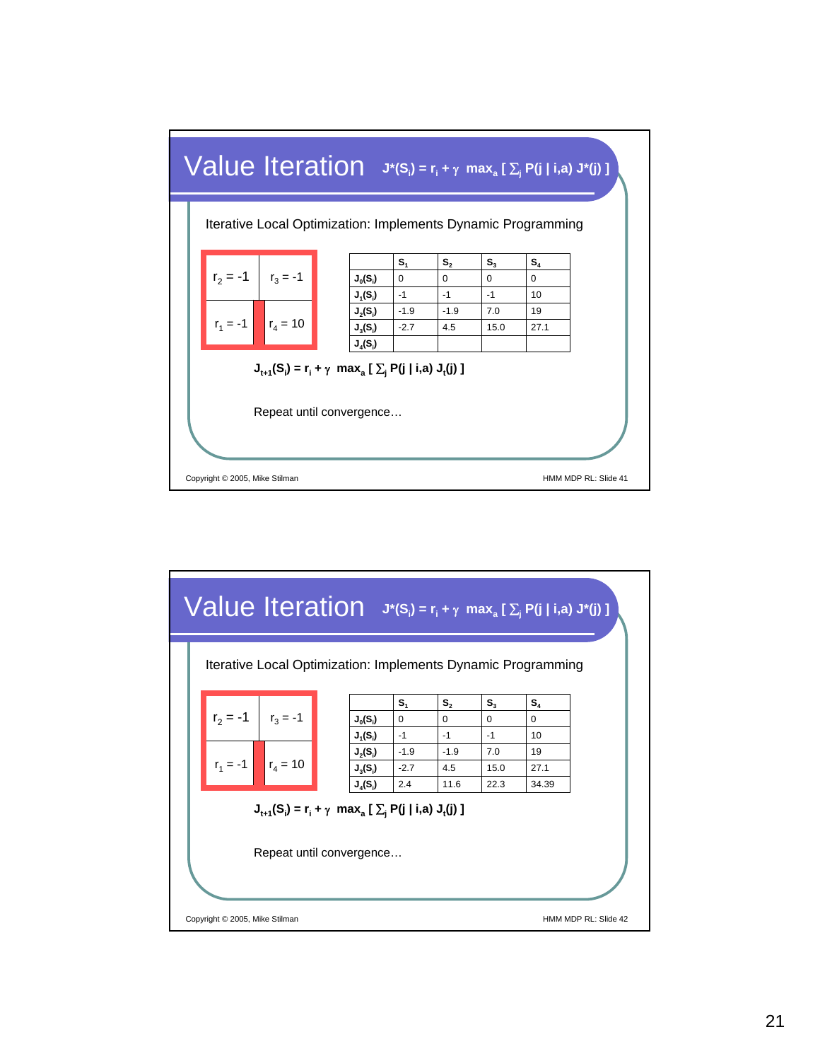

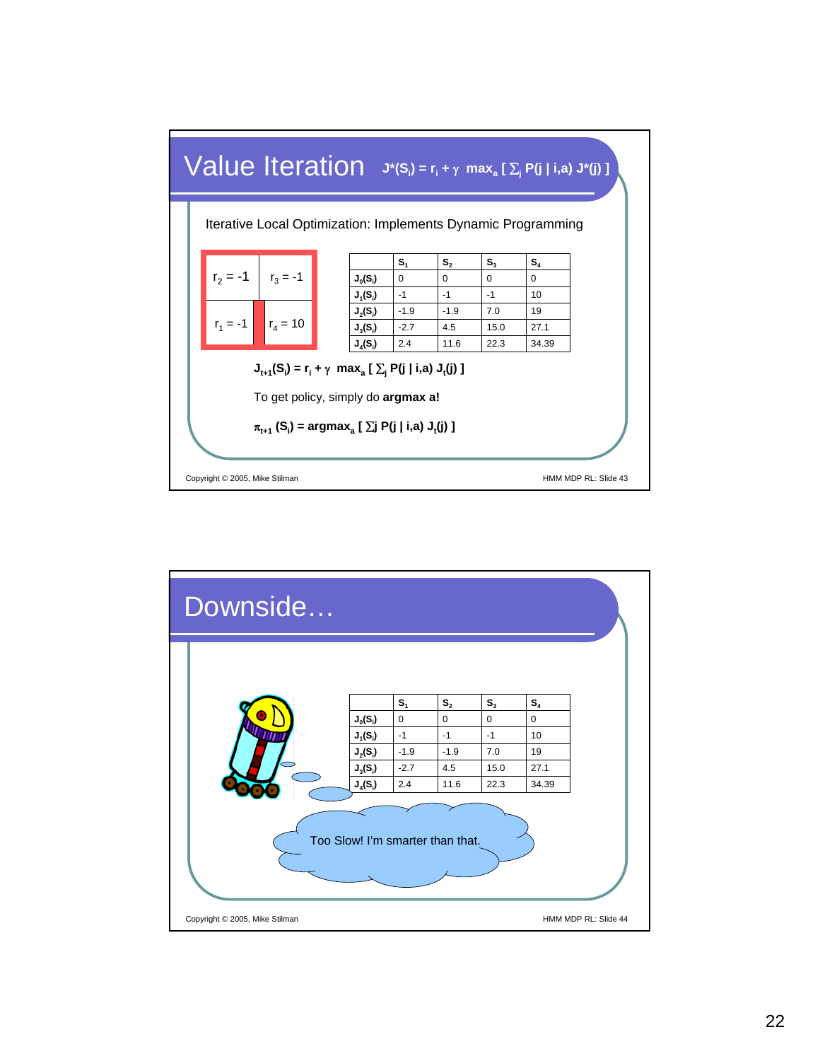

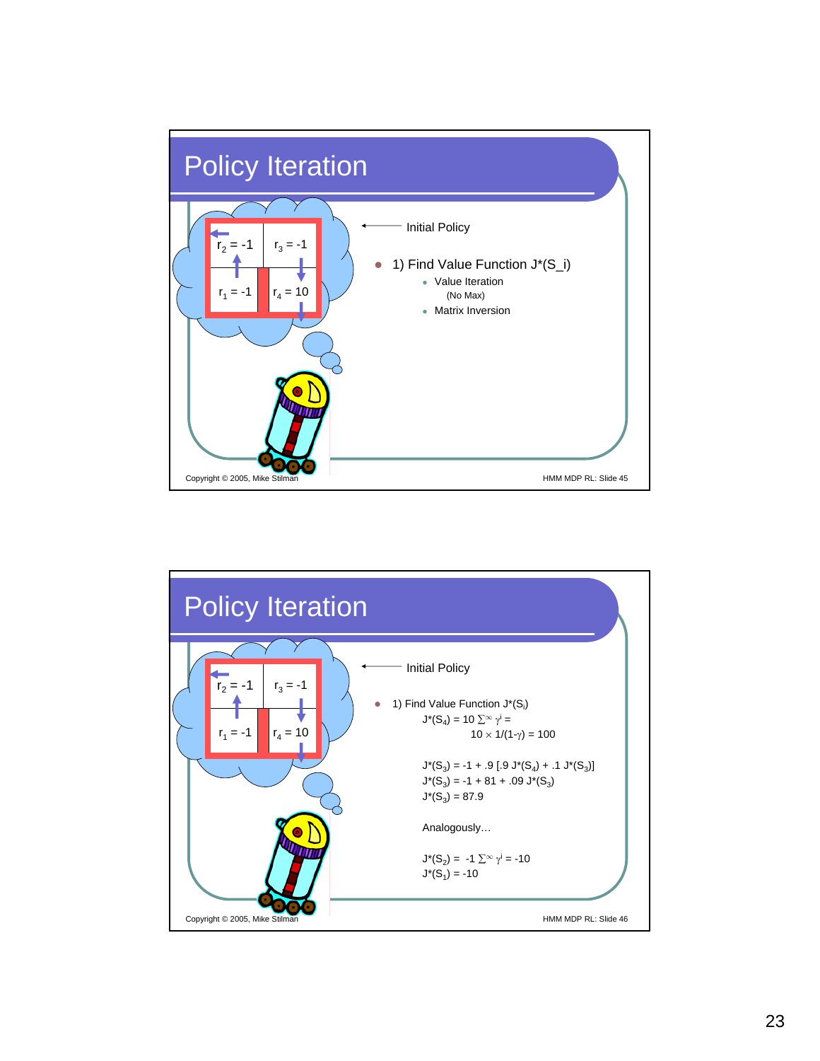

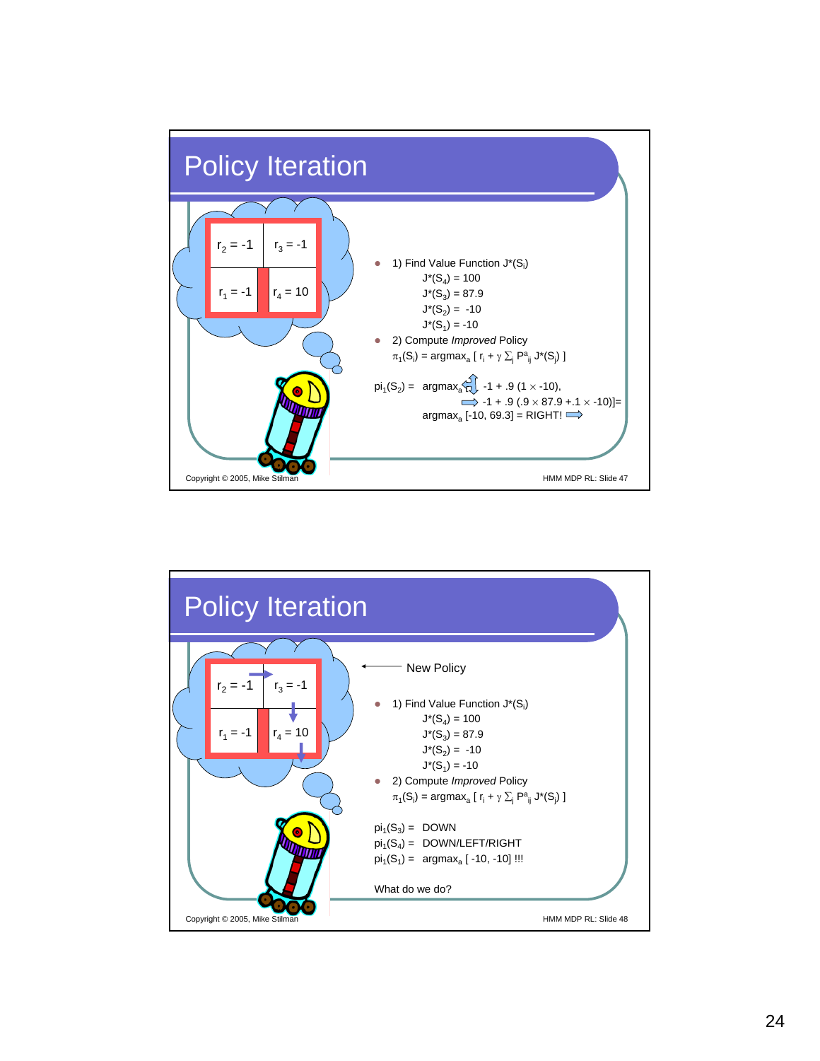

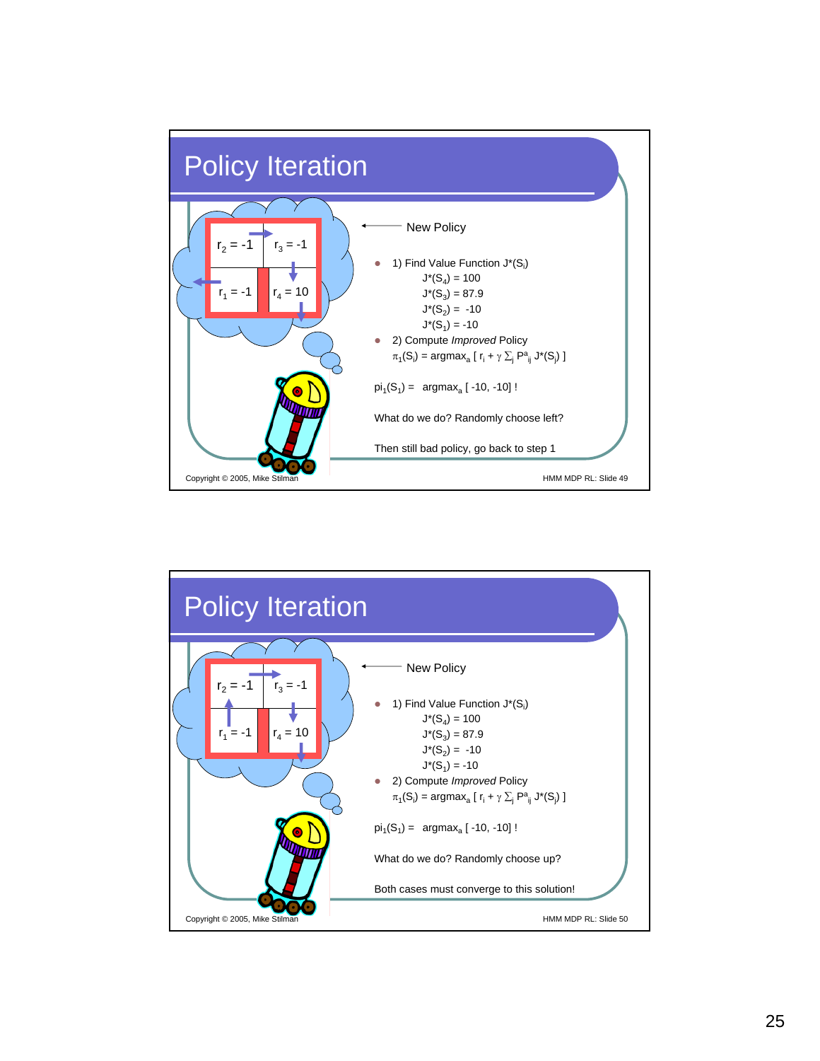

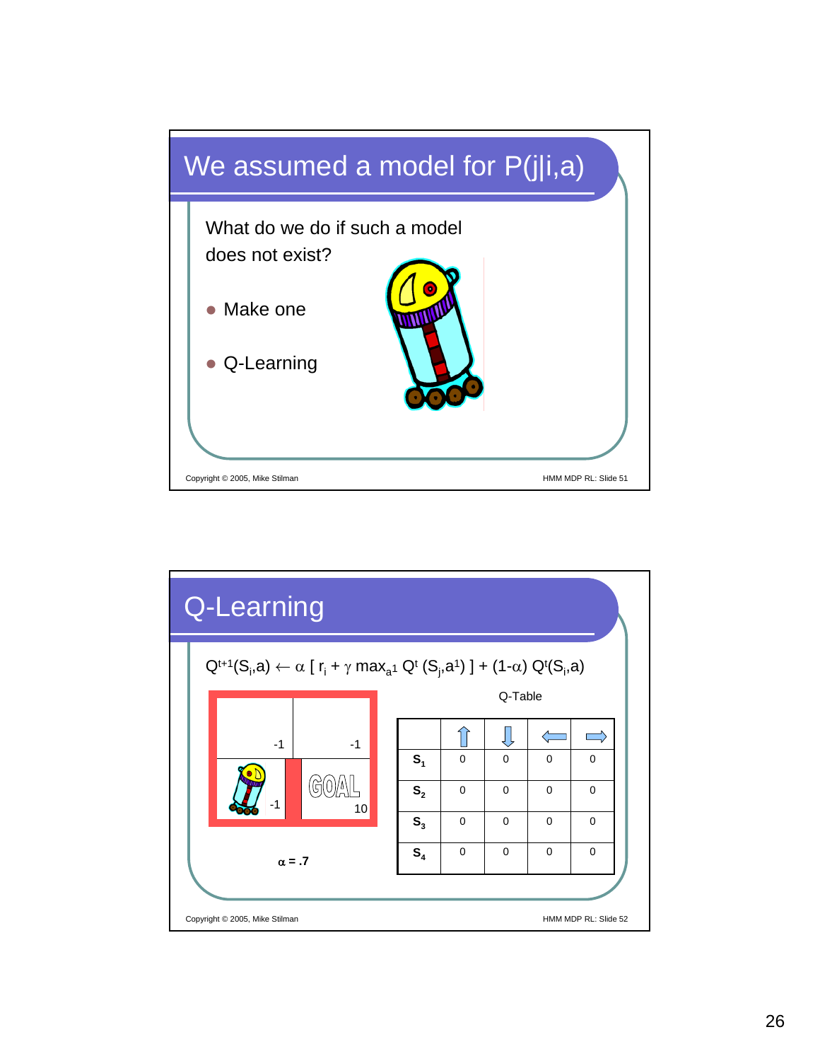

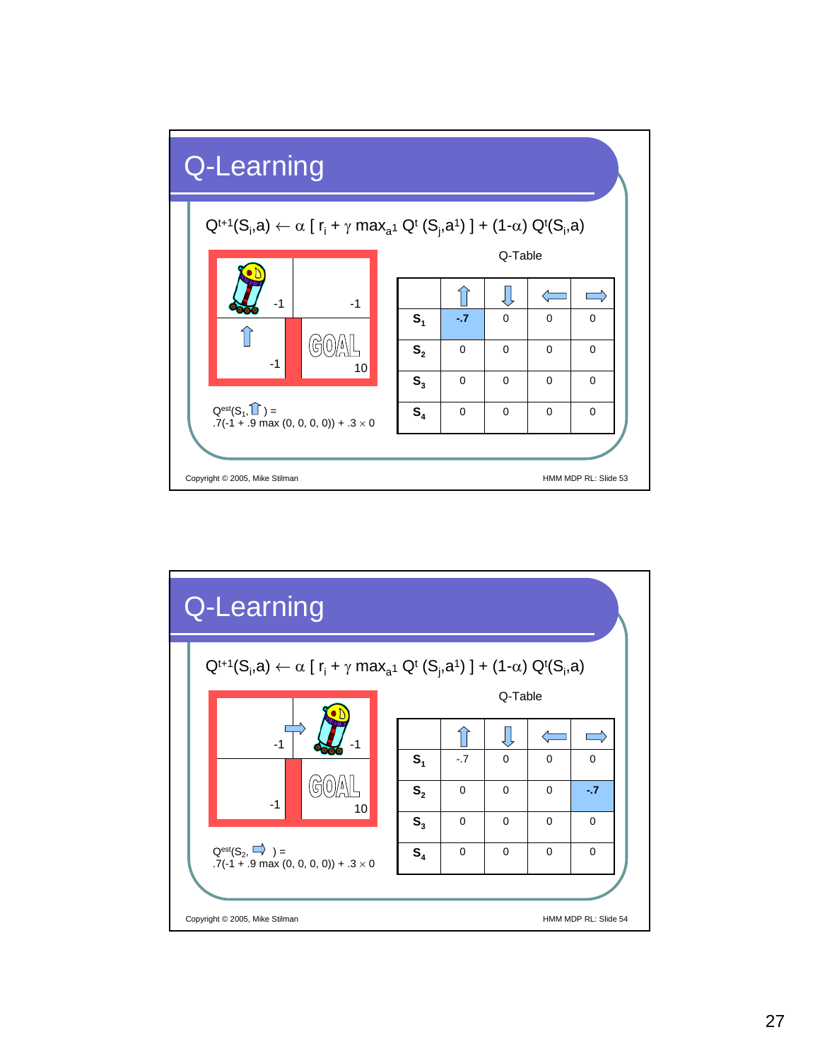

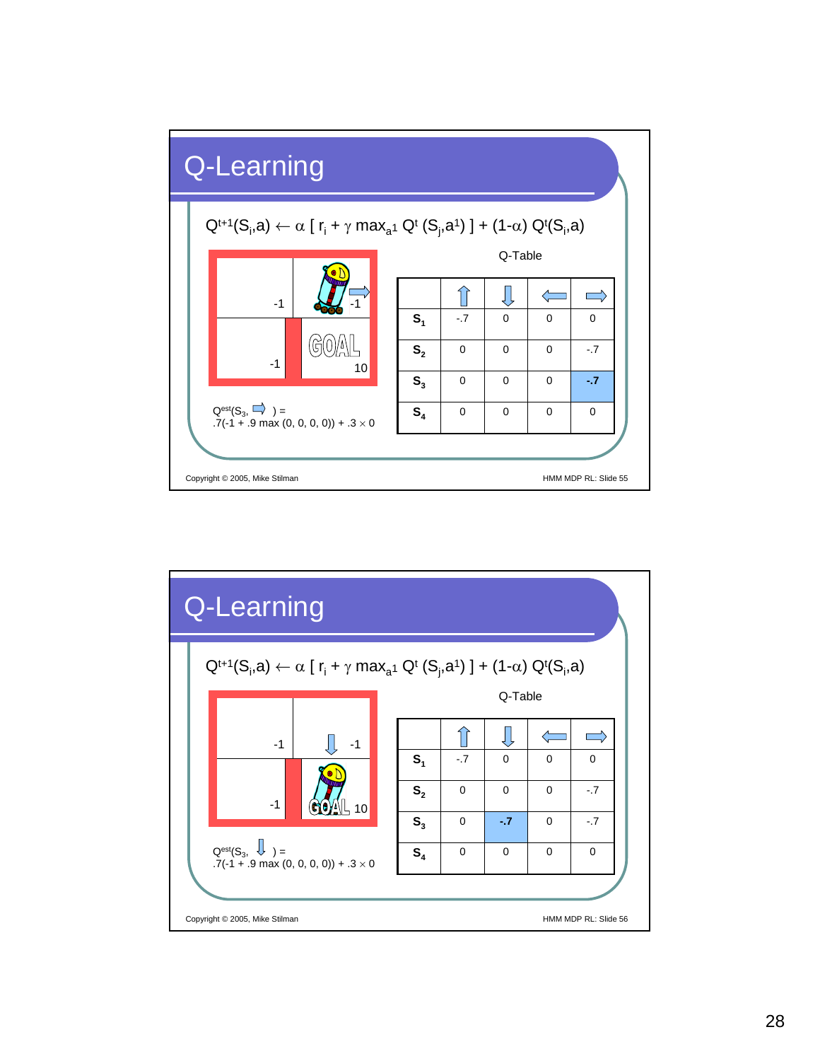

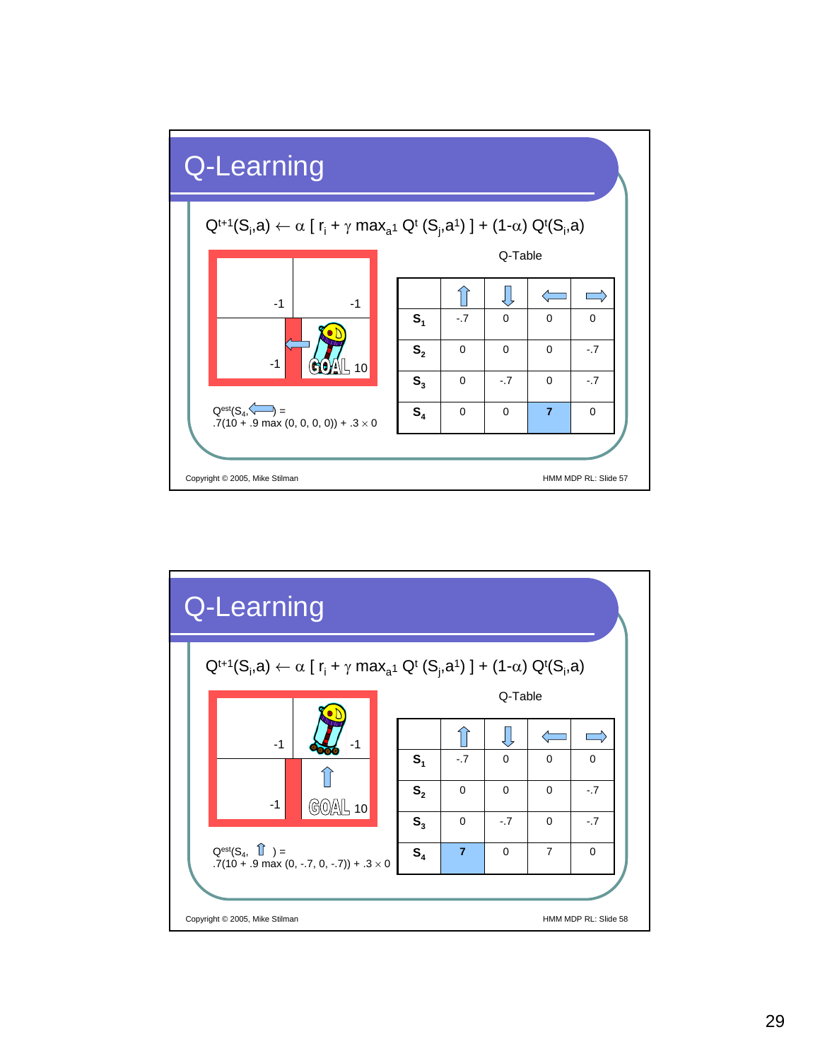